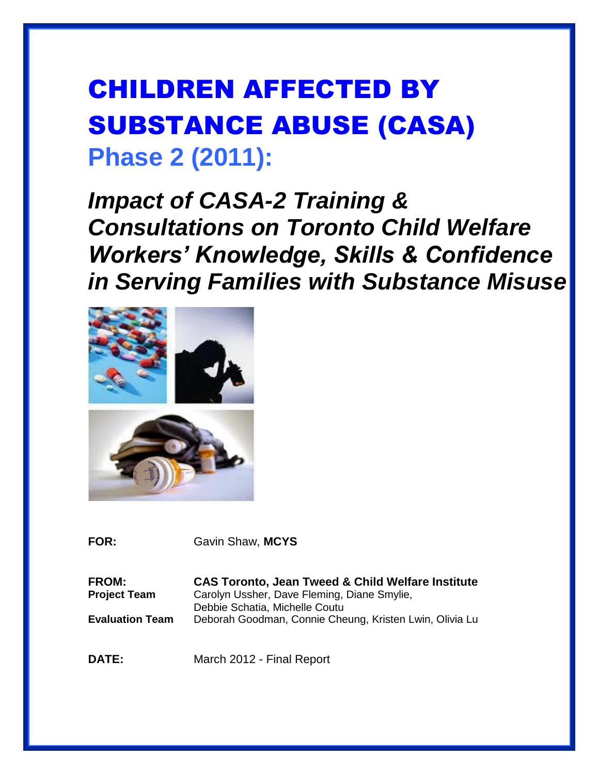# CHILDREN AFFECTED BY SUBSTANCE ABUSE (CASA) **Phase 2 (2011):**

*Impact of CASA-2 Training & Consultations on Toronto Child Welfare Workers' Knowledge, Skills & Confidence in Serving Families with Substance Misuse*



**FOR:** Gavin Shaw, **MCYS**

**FROM: CAS Toronto, Jean Tweed & Child Welfare Institute Project Team** Carolyn Ussher, Dave Fleming, Diane Smylie, Debbie Schatia, Michelle Coutu **Evaluation Team** Deborah Goodman, Connie Cheung, Kristen Lwin, Olivia Lu

**DATE:** March 2012 - Final Report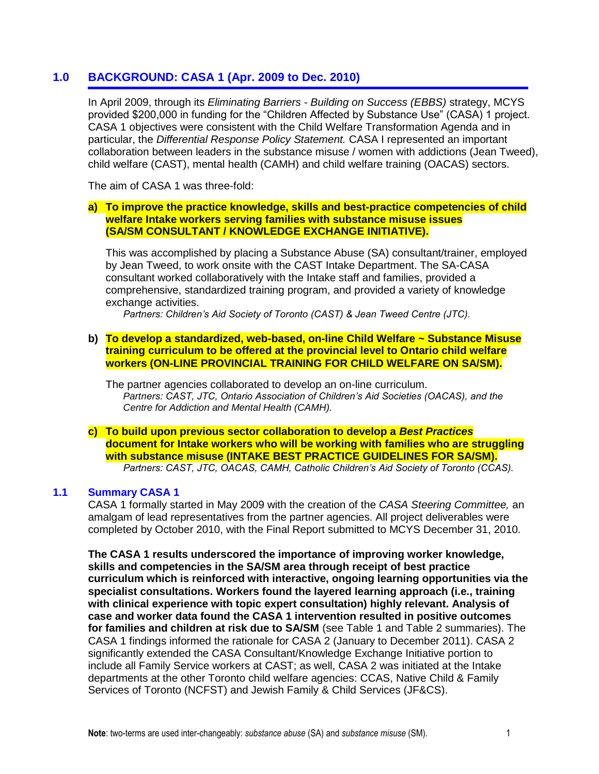# **1.0 BACKGROUND: CASA 1 (Apr. 2009 to Dec. 2010)**

In April 2009, through its *Eliminating Barriers - Building on Success (EBBS)* strategy, MCYS provided \$200,000 in funding for the "Children Affected by Substance Use" (CASA) 1 project. CASA 1 objectives were consistent with the Child Welfare Transformation Agenda and in particular, the *Differential Response Policy Statement.* CASA I represented an important collaboration between leaders in the substance misuse / women with addictions (Jean Tweed), child welfare (CAST), mental health (CAMH) and child welfare training (OACAS) sectors.

The aim of CASA 1 was three-fold:

#### **a) To improve the practice knowledge, skills and best-practice competencies of child welfare Intake workers serving families with substance misuse issues (SA/SM CONSULTANT / KNOWLEDGE EXCHANGE INITIATIVE).**

This was accomplished by placing a Substance Abuse (SA) consultant/trainer, employed by Jean Tweed, to work onsite with the CAST Intake Department. The SA-CASA consultant worked collaboratively with the Intake staff and families, provided a comprehensive, standardized training program, and provided a variety of knowledge exchange activities.

*Partners: Children's Aid Society of Toronto (CAST) & Jean Tweed Centre (JTC).*

#### **b) To develop a standardized, web-based, on-line Child Welfare ~ Substance Misuse training curriculum to be offered at the provincial level to Ontario child welfare workers (ON-LINE PROVINCIAL TRAINING FOR CHILD WELFARE ON SA/SM).**

The partner agencies collaborated to develop an on-line curriculum. *Partners: CAST, JTC, Ontario Association of Children's Aid Societies (OACAS), and the Centre for Addiction and Mental Health (CAMH).*

#### **c) To build upon previous sector collaboration to develop a** *Best Practices* **document for Intake workers who will be working with families who are struggling with substance misuse (INTAKE BEST PRACTICE GUIDELINES FOR SA/SM).** *Partners: CAST, JTC, OACAS, CAMH, Catholic Children's Aid Society of Toronto (CCAS).*

#### **1.1 Summary CASA 1**

CASA 1 formally started in May 2009 with the creation of the *CASA Steering Committee,* an amalgam of lead representatives from the partner agencies. All project deliverables were completed by October 2010, with the Final Report submitted to MCYS December 31, 2010.

**The CASA 1 results underscored the importance of improving worker knowledge, skills and competencies in the SA/SM area through receipt of best practice curriculum which is reinforced with interactive, ongoing learning opportunities via the specialist consultations. Workers found the layered learning approach (i.e., training with clinical experience with topic expert consultation) highly relevant. Analysis of case and worker data found the CASA 1 intervention resulted in positive outcomes for families and children at risk due to SA/SM** (see Table 1 and Table 2 summaries). The CASA 1 findings informed the rationale for CASA 2 (January to December 2011). CASA 2 significantly extended the CASA Consultant/Knowledge Exchange Initiative portion to include all Family Service workers at CAST; as well, CASA 2 was initiated at the Intake departments at the other Toronto child welfare agencies: CCAS, Native Child & Family Services of Toronto (NCFST) and Jewish Family & Child Services (JF&CS).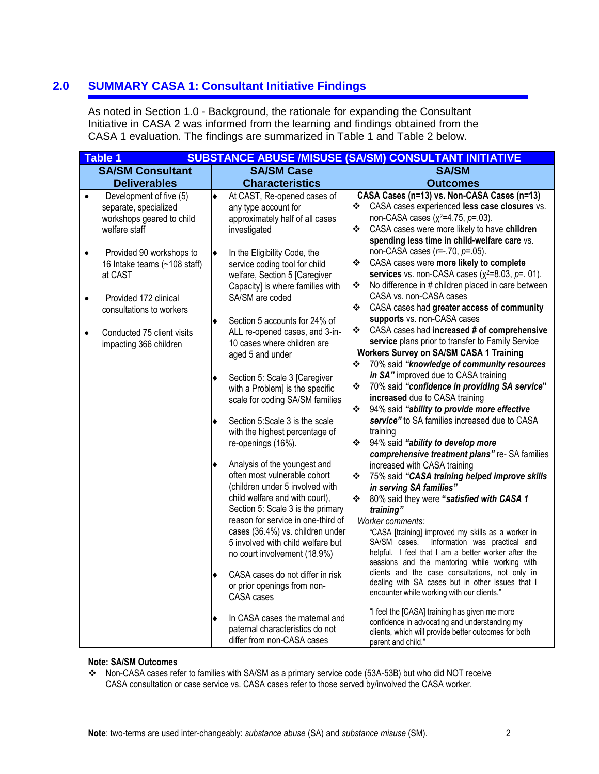# **2.0 SUMMARY CASA 1: Consultant Initiative Findings**

As noted in Section 1.0 - Background, the rationale for expanding the Consultant Initiative in CASA 2 was informed from the learning and findings obtained from the CASA 1 evaluation. The findings are summarized in Table 1 and Table 2 below.

|           | <b>Table 1</b>               |                                                                  |   | <b>SUBSTANCE ABUSE /MISUSE (SA/SM) CONSULTANT INITIATIVE</b>                                         |
|-----------|------------------------------|------------------------------------------------------------------|---|------------------------------------------------------------------------------------------------------|
|           | <b>SA/SM Consultant</b>      | <b>SA/SM Case</b>                                                |   | <b>SA/SM</b>                                                                                         |
|           | <b>Deliverables</b>          | <b>Characteristics</b>                                           |   | <b>Outcomes</b>                                                                                      |
| $\bullet$ | Development of five (5)      | At CAST, Re-opened cases of                                      |   | CASA Cases (n=13) vs. Non-CASA Cases (n=13)                                                          |
|           | separate, specialized        | any type account for                                             | ❖ | CASA cases experienced less case closures vs.                                                        |
|           | workshops geared to child    | approximately half of all cases                                  |   | non-CASA cases ( $x^2$ =4.75, $p$ =.03).                                                             |
|           | welfare staff                | investigated                                                     | ❖ | CASA cases were more likely to have children                                                         |
|           |                              |                                                                  |   | spending less time in child-welfare care vs.                                                         |
|           | Provided 90 workshops to     | In the Eligibility Code, the                                     |   | non-CASA cases $(r=.70, p=.05)$ .                                                                    |
|           | 16 Intake teams (~108 staff) | service coding tool for child                                    | ❖ | CASA cases were more likely to complete                                                              |
|           | at CAST                      | welfare, Section 5 [Caregiver                                    | ❖ | services vs. non-CASA cases $(x^2=8.03, p=.01)$ .                                                    |
|           |                              | Capacity] is where families with                                 |   | No difference in # children placed in care between<br>CASA vs. non-CASA cases                        |
|           | Provided 172 clinical        | SA/SM are coded                                                  | ❖ | CASA cases had greater access of community                                                           |
|           | consultations to workers     |                                                                  |   | supports vs. non-CASA cases                                                                          |
|           |                              | Section 5 accounts for 24% of                                    | ❖ | CASA cases had increased # of comprehensive                                                          |
|           | Conducted 75 client visits   | ALL re-opened cases, and 3-in-                                   |   | service plans prior to transfer to Family Service                                                    |
|           | impacting 366 children       | 10 cases where children are                                      |   | <b>Workers Survey on SA/SM CASA 1 Training</b>                                                       |
|           |                              | aged 5 and under                                                 | ❖ | 70% said "knowledge of community resources                                                           |
|           |                              |                                                                  |   | in SA" improved due to CASA training                                                                 |
|           |                              | Section 5: Scale 3 [Caregiver<br>with a Problem] is the specific | ❖ | 70% said "confidence in providing SA service"                                                        |
|           |                              | scale for coding SA/SM families                                  |   | increased due to CASA training                                                                       |
|           |                              |                                                                  | ❖ | 94% said "ability to provide more effective                                                          |
|           |                              | Section 5:Scale 3 is the scale                                   |   | service" to SA families increased due to CASA                                                        |
|           |                              | with the highest percentage of                                   |   | training                                                                                             |
|           |                              | re-openings (16%).                                               | ❖ | 94% said "ability to develop more                                                                    |
|           |                              |                                                                  |   | comprehensive treatment plans" re- SA families                                                       |
|           |                              | Analysis of the youngest and                                     |   | increased with CASA training                                                                         |
|           |                              | often most vulnerable cohort                                     | ❖ | 75% said "CASA training helped improve skills                                                        |
|           |                              | (children under 5 involved with                                  |   | in serving SA families"                                                                              |
|           |                              | child welfare and with court),                                   | ❖ | 80% said they were "satisfied with CASA 1                                                            |
|           |                              | Section 5: Scale 3 is the primary                                |   | training"                                                                                            |
|           |                              | reason for service in one-third of                               |   | Worker comments:                                                                                     |
|           |                              | cases (36.4%) vs. children under                                 |   | "CASA [training] improved my skills as a worker in                                                   |
|           |                              | 5 involved with child welfare but                                |   | Information was practical and<br>SA/SM cases.                                                        |
|           |                              | no court involvement (18.9%)                                     |   | helpful. I feel that I am a better worker after the<br>sessions and the mentoring while working with |
|           |                              | CASA cases do not differ in risk                                 |   | clients and the case consultations, not only in                                                      |
|           |                              | or prior openings from non-                                      |   | dealing with SA cases but in other issues that I                                                     |
|           |                              | CASA cases                                                       |   | encounter while working with our clients."                                                           |
|           |                              |                                                                  |   |                                                                                                      |
|           |                              | In CASA cases the maternal and                                   |   | "I feel the [CASA] training has given me more<br>confidence in advocating and understanding my       |
|           |                              | paternal characteristics do not                                  |   | clients, which will provide better outcomes for both                                                 |
|           |                              | differ from non-CASA cases                                       |   | parent and child."                                                                                   |

#### **Note: SA/SM Outcomes**

 Non-CASA cases refer to families with SA/SM as a primary service code (53A-53B) but who did NOT receive CASA consultation or case service vs. CASA cases refer to those served by/involved the CASA worker.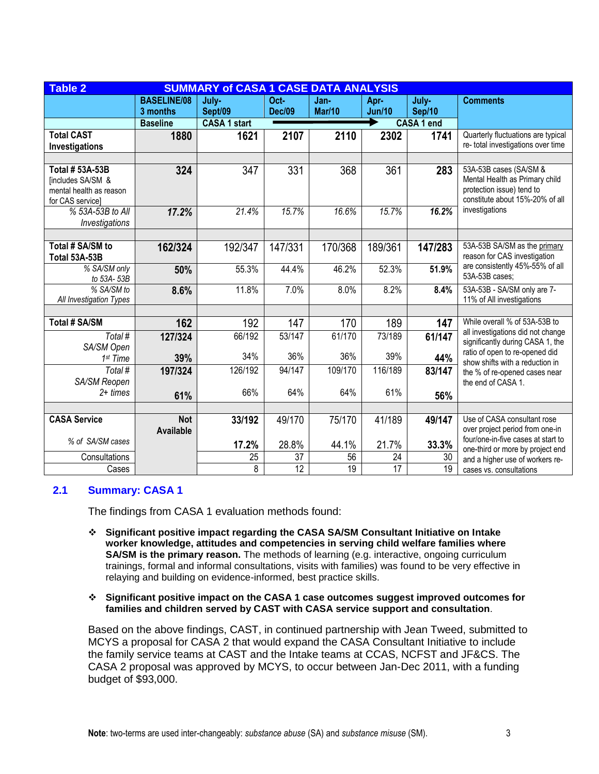| <b>Table 2</b>                                                                                 | <b>SUMMARY of CASA 1 CASE DATA ANALYSIS</b> |                     |                 |                 |                 |                   |                                                                                                                          |  |  |
|------------------------------------------------------------------------------------------------|---------------------------------------------|---------------------|-----------------|-----------------|-----------------|-------------------|--------------------------------------------------------------------------------------------------------------------------|--|--|
|                                                                                                | July-                                       | Oct-                | Jan-            | Apr-            | July-           | <b>Comments</b>   |                                                                                                                          |  |  |
|                                                                                                | 3 months                                    | Sept/09             | <b>Dec/09</b>   | Mar/10          | <b>Jun/10</b>   | Sep/10            |                                                                                                                          |  |  |
|                                                                                                | <b>Baseline</b>                             | <b>CASA 1 start</b> |                 |                 |                 | <b>CASA 1 end</b> |                                                                                                                          |  |  |
| <b>Total CAST</b>                                                                              | 1880                                        | 1621                | 2107            | 2110            | 2302            | 1741              | Quarterly fluctuations are typical                                                                                       |  |  |
| Investigations                                                                                 |                                             |                     |                 |                 |                 |                   | re- total investigations over time                                                                                       |  |  |
|                                                                                                |                                             |                     |                 |                 |                 |                   |                                                                                                                          |  |  |
| Total # 53A-53B<br><b>[includes SA/SM &amp;</b><br>mental health as reason<br>for CAS service] | 324                                         | 347                 | 331             | 368             | 361             | 283               | 53A-53B cases (SA/SM &<br>Mental Health as Primary child<br>protection issue) tend to<br>constitute about 15%-20% of all |  |  |
| % 53A-53B to All<br>Investigations                                                             | 17.2%                                       | 21.4%               | 15.7%           | 16.6%           | 15.7%           | 16.2%             | investigations                                                                                                           |  |  |
|                                                                                                |                                             |                     |                 |                 |                 |                   |                                                                                                                          |  |  |
| Total # SA/SM to<br>Total 53A-53B                                                              | 162/324                                     | 192/347             | 147/331         | 170/368         | 189/361         | 147/283           | 53A-53B SA/SM as the primary<br>reason for CAS investigation                                                             |  |  |
| % SA/SM only<br>to 53A-53B                                                                     | 50%                                         | 55.3%               | 44.4%           | 46.2%           | 52.3%           | 51.9%             | are consistently 45%-55% of all<br>53A-53B cases;                                                                        |  |  |
| % SA/SM to<br>All Investigation Types                                                          | 8.6%                                        | 11.8%               | 7.0%            | 8.0%            | 8.2%            | 8.4%              | 53A-53B - SA/SM only are 7-<br>11% of All investigations                                                                 |  |  |
|                                                                                                |                                             |                     |                 |                 |                 |                   |                                                                                                                          |  |  |
| <b>Total # SA/SM</b>                                                                           | 162                                         | 192                 | 147             | 170             | 189             | 147               | While overall % of 53A-53B to                                                                                            |  |  |
| Total #<br>SA/SM Open                                                                          | 127/324                                     | 66/192              | 53/147          | 61/170          | 73/189          | 61/147            | all investigations did not change<br>significantly during CASA 1, the                                                    |  |  |
| 1 <sup>st</sup> Time                                                                           | 39%                                         | 34%                 | 36%             | 36%             | 39%             | 44%               | ratio of open to re-opened did<br>show shifts with a reduction in                                                        |  |  |
| Total #<br>SA/SM Reopen                                                                        | 197/324                                     | 126/192             | 94/147          | 109/170         | 116/189         | 83/147            | the % of re-opened cases near<br>the end of CASA 1.                                                                      |  |  |
| $2+ times$                                                                                     | 61%                                         | 66%                 | 64%             | 64%             | 61%             | 56%               |                                                                                                                          |  |  |
|                                                                                                |                                             |                     |                 |                 |                 |                   |                                                                                                                          |  |  |
| <b>CASA Service</b>                                                                            | <b>Not</b>                                  | 33/192              | 49/170          | 75/170          | 41/189          | 49/147            | Use of CASA consultant rose                                                                                              |  |  |
|                                                                                                | Available                                   |                     |                 |                 |                 |                   | over project period from one-in<br>four/one-in-five cases at start to                                                    |  |  |
| % of SA/SM cases                                                                               |                                             | 17.2%               | 28.8%           | 44.1%           | 21.7%           | 33.3%             | one-third or more by project end                                                                                         |  |  |
| Consultations                                                                                  |                                             | 25                  | 37              | 56              | 24              | 30                | and a higher use of workers re-                                                                                          |  |  |
| Cases                                                                                          |                                             | 8                   | $\overline{12}$ | $\overline{19}$ | $\overline{17}$ | 19                | cases vs. consultations                                                                                                  |  |  |

#### **2.1 Summary: CASA 1**

The findings from CASA 1 evaluation methods found:

- **Significant positive impact regarding the CASA SA/SM Consultant Initiative on Intake worker knowledge, attitudes and competencies in serving child welfare families where SA/SM is the primary reason.** The methods of learning (e.g. interactive, ongoing curriculum trainings, formal and informal consultations, visits with families) was found to be very effective in relaying and building on evidence-informed, best practice skills.
- **Significant positive impact on the CASA 1 case outcomes suggest improved outcomes for families and children served by CAST with CASA service support and consultation**.

Based on the above findings, CAST, in continued partnership with Jean Tweed, submitted to MCYS a proposal for CASA 2 that would expand the CASA Consultant Initiative to include the family service teams at CAST and the Intake teams at CCAS, NCFST and JF&CS. The CASA 2 proposal was approved by MCYS, to occur between Jan-Dec 2011, with a funding budget of \$93,000.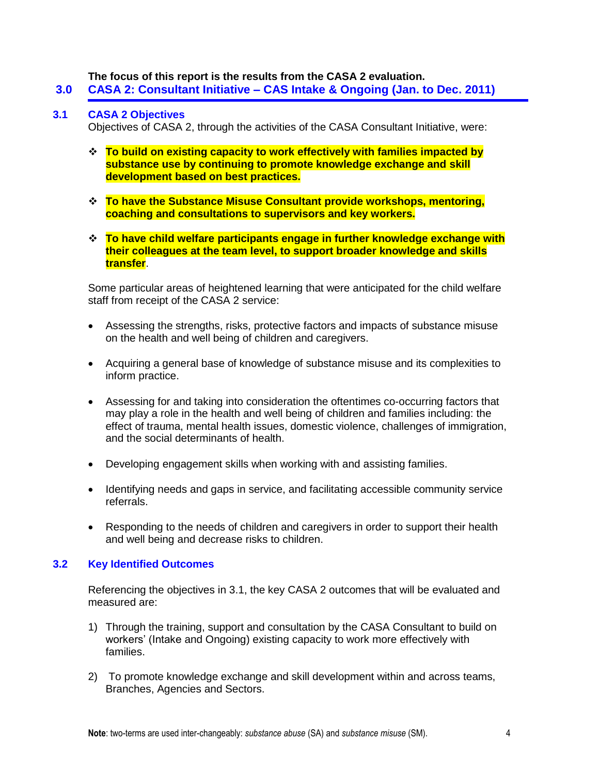#### **The focus of this report is the results from the CASA 2 evaluation.**

**3.0 CASA 2: Consultant Initiative – CAS Intake & Ongoing (Jan. to Dec. 2011)**

#### **3.1 CASA 2 Objectives**

Objectives of CASA 2, through the activities of the CASA Consultant Initiative, were:

- **To build on existing capacity to work effectively with families impacted by substance use by continuing to promote knowledge exchange and skill development based on best practices.**
- **To have the Substance Misuse Consultant provide workshops, mentoring, coaching and consultations to supervisors and key workers.**
- **To have child welfare participants engage in further knowledge exchange with their colleagues at the team level, to support broader knowledge and skills transfer**.

Some particular areas of heightened learning that were anticipated for the child welfare staff from receipt of the CASA 2 service:

- Assessing the strengths, risks, protective factors and impacts of substance misuse on the health and well being of children and caregivers.
- Acquiring a general base of knowledge of substance misuse and its complexities to inform practice.
- Assessing for and taking into consideration the oftentimes co-occurring factors that may play a role in the health and well being of children and families including: the effect of trauma, mental health issues, domestic violence, challenges of immigration, and the social determinants of health.
- Developing engagement skills when working with and assisting families.
- Identifying needs and gaps in service, and facilitating accessible community service referrals.
- Responding to the needs of children and caregivers in order to support their health and well being and decrease risks to children.

#### **3.2 Key Identified Outcomes**

Referencing the objectives in 3.1, the key CASA 2 outcomes that will be evaluated and measured are:

- 1) Through the training, support and consultation by the CASA Consultant to build on workers' (Intake and Ongoing) existing capacity to work more effectively with families.
- 2) To promote knowledge exchange and skill development within and across teams, Branches, Agencies and Sectors.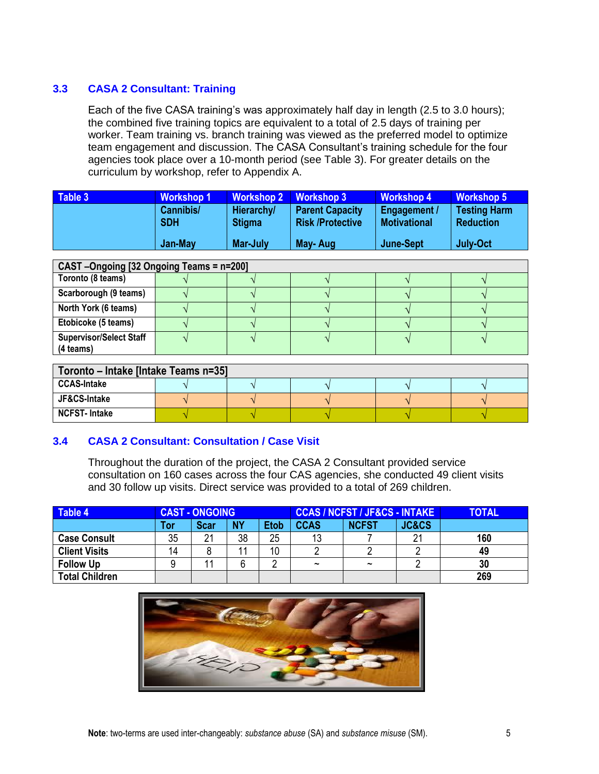# **3.3 CASA 2 Consultant: Training**

Each of the five CASA training's was approximately half day in length (2.5 to 3.0 hours); the combined five training topics are equivalent to a total of 2.5 days of training per worker. Team training vs. branch training was viewed as the preferred model to optimize team engagement and discussion. The CASA Consultant's training schedule for the four agencies took place over a 10-month period (see Table 3). For greater details on the curriculum by workshop, refer to Appendix A.

| Table 3 | <b>Workshop 1</b>       | Workshop 2 Workshop 3              |                                                   | <b>Workshop 4</b>                   | <b>Workshop 5</b>                       |
|---------|-------------------------|------------------------------------|---------------------------------------------------|-------------------------------------|-----------------------------------------|
|         | Cannibis/<br><b>SDH</b> | <b>Hierarchy/</b><br><b>Stigma</b> | <b>Parent Capacity</b><br><b>Risk /Protective</b> | Engagement /<br><b>Motivational</b> | <b>Testing Harm</b><br><b>Reduction</b> |
|         | Jan-May                 | Mar-July                           | May-Aug                                           | June-Sept                           | <b>July-Oct</b>                         |

| CAST-Ongoing [32 Ongoing Teams = n=200] |  |  |  |  |  |  |
|-----------------------------------------|--|--|--|--|--|--|
| Toronto (8 teams)                       |  |  |  |  |  |  |
| Scarborough (9 teams)                   |  |  |  |  |  |  |
| North York (6 teams)                    |  |  |  |  |  |  |
| Etobicoke (5 teams)                     |  |  |  |  |  |  |
| <b>Supervisor/Select Staff</b>          |  |  |  |  |  |  |
| (4 teams)                               |  |  |  |  |  |  |

| Toronto – Intake [Intake Teams n=35] |  |  |  |  |  |  |
|--------------------------------------|--|--|--|--|--|--|
| <b>CCAS-Intake</b>                   |  |  |  |  |  |  |
| JF&CS-Intake                         |  |  |  |  |  |  |
| <b>NCFST-Intake</b>                  |  |  |  |  |  |  |

#### **3.4 CASA 2 Consultant: Consultation / Case Visit**

Throughout the duration of the project, the CASA 2 Consultant provided service consultation on 160 cases across the four CAS agencies, she conducted 49 client visits and 30 follow up visits. Direct service was provided to a total of 269 children.

| Table 4               | <b>CAST - ONGOING</b> |             |           | <b>CCAS / NCFST / JF&amp;CS - INTAKE /</b> |                       |                       | <b>TOTAL</b>     |     |
|-----------------------|-----------------------|-------------|-----------|--------------------------------------------|-----------------------|-----------------------|------------------|-----|
|                       | Tor                   | <b>Scar</b> | <b>NY</b> | <b>Etob</b>                                | <b>CCAS</b>           | <b>NCFST</b>          | <b>JC&amp;CS</b> |     |
| <b>Case Consult</b>   | 35                    | 21          | 38        | 25                                         | 13                    |                       |                  | 160 |
| <b>Client Visits</b>  | 14                    |             |           | 10                                         |                       |                       |                  | 49  |
| <b>Follow Up</b>      |                       |             |           | C                                          | $\tilde{\phantom{a}}$ | $\tilde{\phantom{a}}$ |                  | 30  |
| <b>Total Children</b> |                       |             |           |                                            |                       |                       |                  | 269 |

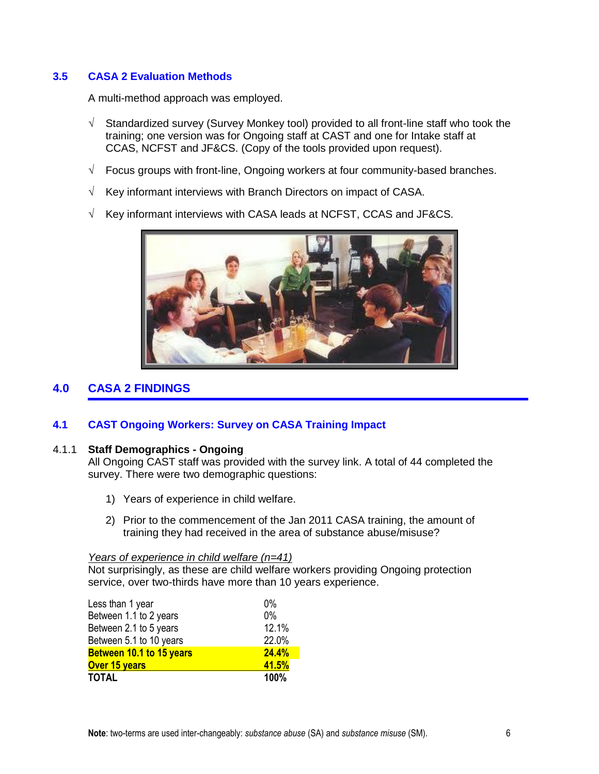### **3.5 CASA 2 Evaluation Methods**

A multi-method approach was employed.

- $\sqrt{ }$  Standardized survey (Survey Monkey tool) provided to all front-line staff who took the training; one version was for Ongoing staff at CAST and one for Intake staff at CCAS, NCFST and JF&CS. (Copy of the tools provided upon request).
- $\sqrt{\phantom{a}}$  Focus groups with front-line, Ongoing workers at four community-based branches.
- $\sqrt{ }$  Key informant interviews with Branch Directors on impact of CASA.
- $\sqrt{ }$  Key informant interviews with CASA leads at NCFST, CCAS and JF&CS.



# **4.0 CASA 2 FINDINGS**

#### **4.1 CAST Ongoing Workers: Survey on CASA Training Impact**

#### 4.1.1 **Staff Demographics - Ongoing**

All Ongoing CAST staff was provided with the survey link. A total of 44 completed the survey. There were two demographic questions:

- 1) Years of experience in child welfare.
- 2) Prior to the commencement of the Jan 2011 CASA training, the amount of training they had received in the area of substance abuse/misuse?

#### *Years of experience in child welfare (n=41)*

Not surprisingly, as these are child welfare workers providing Ongoing protection service, over two-thirds have more than 10 years experience.

| Less than 1 year                | $0\%$        |
|---------------------------------|--------------|
| Between 1.1 to 2 years          | 0%           |
| Between 2.1 to 5 years          | 12.1%        |
| Between 5.1 to 10 years         | 22.0%        |
| <b>Between 10.1 to 15 years</b> | <b>24.4%</b> |
| <b>Over 15 years</b>            | 41.5%        |
| <b>TOTAL</b>                    | 100%         |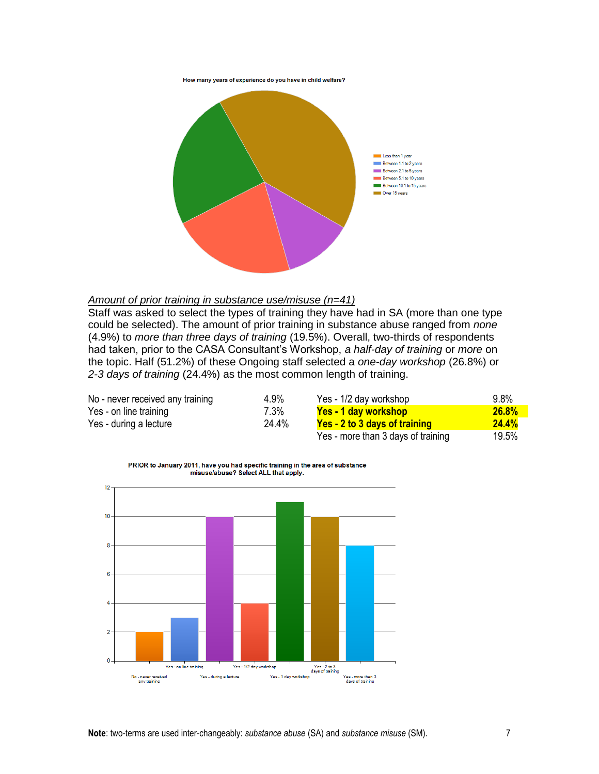How many years of experience do you have in child welfare?



#### *Amount of prior training in substance use/misuse (n=41)*

Staff was asked to select the types of training they have had in SA (more than one type could be selected). The amount of prior training in substance abuse ranged from *none* (4.9%) to *more than three days of training* (19.5%). Overall, two-thirds of respondents had taken, prior to the CASA Consultant's Workshop, *a half-day of training* or *more* on the topic. Half (51.2%) of these Ongoing staff selected a *one-day workshop* (26.8%) or *2-3 days of training* (24.4%) as the most common length of training.

| No - never received any training | 4.9%    | Yes - 1/2 day workshop             | 9.8%     |
|----------------------------------|---------|------------------------------------|----------|
| Yes - on line training           | $7.3\%$ | <b>Yes - 1 day workshop</b>        | 26.8%    |
| Yes - during a lecture           | 24.4%   | Yes - 2 to 3 days of training      | 24.4%    |
|                                  |         | Ves - more than 3 dave of training | 10 $5\%$ |

| Yes - more than 3 days of training | 19.5% |
|------------------------------------|-------|
|------------------------------------|-------|

PRIOR to January 2011, have you had specific training in the area of substance misuse/abuse? Select ALL that apply.

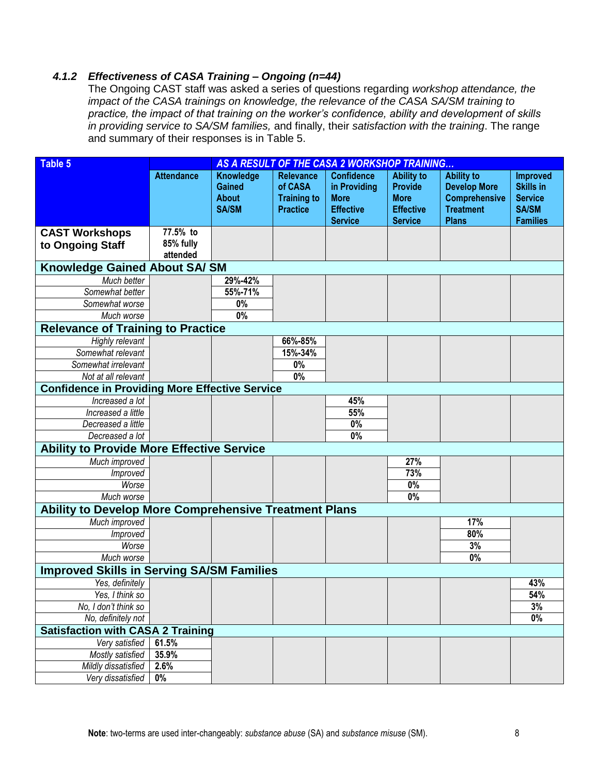# *4.1.2 Effectiveness of CASA Training – Ongoing (n=44)*

The Ongoing CAST staff was asked a series of questions regarding *workshop attendance, the impact of the CASA trainings on knowledge, the relevance of the CASA SA/SM training to practice, the impact of that training on the worker's confidence, ability and development of skills in providing service to SA/SM families,* and finally, their *satisfaction with the training*. The range and summary of their responses is in Table 5.

| Table 5                                               | AS A RESULT OF THE CASA 2 WORKSHOP TRAINING |                                                            |                                                                      |                                                                                        |                                                                                          |                                                                                                      |                                                                                          |
|-------------------------------------------------------|---------------------------------------------|------------------------------------------------------------|----------------------------------------------------------------------|----------------------------------------------------------------------------------------|------------------------------------------------------------------------------------------|------------------------------------------------------------------------------------------------------|------------------------------------------------------------------------------------------|
|                                                       | <b>Attendance</b>                           | Knowledge<br><b>Gained</b><br><b>About</b><br><b>SA/SM</b> | <b>Relevance</b><br>of CASA<br><b>Training to</b><br><b>Practice</b> | <b>Confidence</b><br>in Providing<br><b>More</b><br><b>Effective</b><br><b>Service</b> | <b>Ability to</b><br><b>Provide</b><br><b>More</b><br><b>Effective</b><br><b>Service</b> | <b>Ability to</b><br><b>Develop More</b><br><b>Comprehensive</b><br><b>Treatment</b><br><b>Plans</b> | <b>Improved</b><br><b>Skills in</b><br><b>Service</b><br><b>SA/SM</b><br><b>Families</b> |
| <b>CAST Workshops</b>                                 | 77.5% to                                    |                                                            |                                                                      |                                                                                        |                                                                                          |                                                                                                      |                                                                                          |
| to Ongoing Staff                                      | 85% fully                                   |                                                            |                                                                      |                                                                                        |                                                                                          |                                                                                                      |                                                                                          |
|                                                       | attended                                    |                                                            |                                                                      |                                                                                        |                                                                                          |                                                                                                      |                                                                                          |
| <b>Knowledge Gained About SA/SM</b>                   |                                             |                                                            |                                                                      |                                                                                        |                                                                                          |                                                                                                      |                                                                                          |
| Much better                                           |                                             | 29%-42%                                                    |                                                                      |                                                                                        |                                                                                          |                                                                                                      |                                                                                          |
| Somewhat better                                       |                                             | 55%-71%                                                    |                                                                      |                                                                                        |                                                                                          |                                                                                                      |                                                                                          |
| Somewhat worse                                        |                                             | $0\%$                                                      |                                                                      |                                                                                        |                                                                                          |                                                                                                      |                                                                                          |
| Much worse                                            |                                             | $0\%$                                                      |                                                                      |                                                                                        |                                                                                          |                                                                                                      |                                                                                          |
| <b>Relevance of Training to Practice</b>              |                                             |                                                            |                                                                      |                                                                                        |                                                                                          |                                                                                                      |                                                                                          |
| Highly relevant                                       |                                             |                                                            | 66%-85%                                                              |                                                                                        |                                                                                          |                                                                                                      |                                                                                          |
| Somewhat relevant                                     |                                             |                                                            | 15%-34%                                                              |                                                                                        |                                                                                          |                                                                                                      |                                                                                          |
| Somewhat irrelevant                                   |                                             |                                                            | 0%                                                                   |                                                                                        |                                                                                          |                                                                                                      |                                                                                          |
| Not at all relevant                                   |                                             |                                                            | $\overline{0\%}$                                                     |                                                                                        |                                                                                          |                                                                                                      |                                                                                          |
| <b>Confidence in Providing More Effective Service</b> |                                             |                                                            |                                                                      |                                                                                        |                                                                                          |                                                                                                      |                                                                                          |
| Increased a lot                                       |                                             |                                                            |                                                                      | 45%                                                                                    |                                                                                          |                                                                                                      |                                                                                          |
| Increased a little                                    |                                             |                                                            |                                                                      | 55%                                                                                    |                                                                                          |                                                                                                      |                                                                                          |
| Decreased a little                                    |                                             |                                                            |                                                                      | 0%                                                                                     |                                                                                          |                                                                                                      |                                                                                          |
| Decreased a lot                                       |                                             |                                                            |                                                                      | 0%                                                                                     |                                                                                          |                                                                                                      |                                                                                          |
| <b>Ability to Provide More Effective Service</b>      |                                             |                                                            |                                                                      |                                                                                        |                                                                                          |                                                                                                      |                                                                                          |
| Much improved                                         |                                             |                                                            |                                                                      |                                                                                        | 27%                                                                                      |                                                                                                      |                                                                                          |
| Improved                                              |                                             |                                                            |                                                                      |                                                                                        | 73%                                                                                      |                                                                                                      |                                                                                          |
| Worse                                                 |                                             |                                                            |                                                                      |                                                                                        | 0%                                                                                       |                                                                                                      |                                                                                          |
| Much worse                                            |                                             |                                                            |                                                                      |                                                                                        | 0%                                                                                       |                                                                                                      |                                                                                          |
| Ability to Develop More Comprehensive Treatment Plans |                                             |                                                            |                                                                      |                                                                                        |                                                                                          |                                                                                                      |                                                                                          |
| Much improved                                         |                                             |                                                            |                                                                      |                                                                                        |                                                                                          | 17%                                                                                                  |                                                                                          |
| Improved                                              |                                             |                                                            |                                                                      |                                                                                        |                                                                                          | 80%                                                                                                  |                                                                                          |
| Worse                                                 |                                             |                                                            |                                                                      |                                                                                        |                                                                                          | 3%                                                                                                   |                                                                                          |
| Much worse                                            |                                             |                                                            |                                                                      |                                                                                        |                                                                                          | 0%                                                                                                   |                                                                                          |
| <b>Improved Skills in Serving SA/SM Families</b>      |                                             |                                                            |                                                                      |                                                                                        |                                                                                          |                                                                                                      |                                                                                          |
| Yes, definitely                                       |                                             |                                                            |                                                                      |                                                                                        |                                                                                          |                                                                                                      | 43%                                                                                      |
| Yes, I think so                                       |                                             |                                                            |                                                                      |                                                                                        |                                                                                          |                                                                                                      | 54%                                                                                      |
| No, I don't think so                                  |                                             |                                                            |                                                                      |                                                                                        |                                                                                          |                                                                                                      | 3%                                                                                       |
| No, definitely not                                    |                                             |                                                            |                                                                      |                                                                                        |                                                                                          |                                                                                                      | $\overline{0\%}$                                                                         |
| <b>Satisfaction with CASA 2 Training</b>              |                                             |                                                            |                                                                      |                                                                                        |                                                                                          |                                                                                                      |                                                                                          |
| Very satisfied                                        | 61.5%                                       |                                                            |                                                                      |                                                                                        |                                                                                          |                                                                                                      |                                                                                          |
| <b>Mostly satisfied</b>                               | 35.9%                                       |                                                            |                                                                      |                                                                                        |                                                                                          |                                                                                                      |                                                                                          |
| Mildly dissatisfied                                   | 2.6%                                        |                                                            |                                                                      |                                                                                        |                                                                                          |                                                                                                      |                                                                                          |
| Very dissatisfied                                     | 0%                                          |                                                            |                                                                      |                                                                                        |                                                                                          |                                                                                                      |                                                                                          |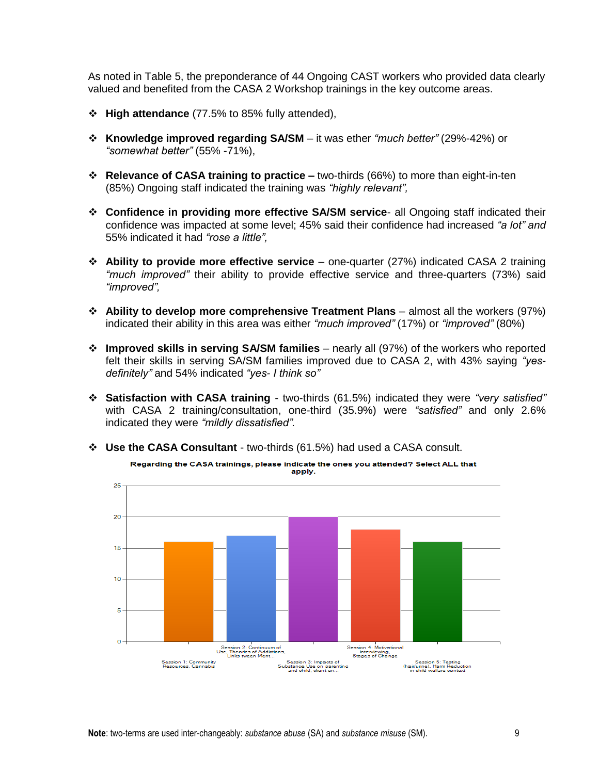As noted in Table 5, the preponderance of 44 Ongoing CAST workers who provided data clearly valued and benefited from the CASA 2 Workshop trainings in the key outcome areas.

- **High attendance** (77.5% to 85% fully attended),
- **Knowledge improved regarding SA/SM** it was ether *"much better"* (29%-42%) or *"somewhat better"* (55% -71%),
- **Relevance of CASA training to practice –** two-thirds (66%) to more than eight-in-ten (85%) Ongoing staff indicated the training was *"highly relevant",*
- **Confidence in providing more effective SA/SM service** all Ongoing staff indicated their confidence was impacted at some level; 45% said their confidence had increased *"a lot" and* 55% indicated it had *"rose a little",*
- **Ability to provide more effective service**  one-quarter (27%) indicated CASA 2 training *"much improved"* their ability to provide effective service and three-quarters (73%) said *"improved",*
- **Ability to develop more comprehensive Treatment Plans** almost all the workers (97%) indicated their ability in this area was either *"much improved"* (17%) or *"improved"* (80%)
- **Improved skills in serving SA/SM families** nearly all (97%) of the workers who reported felt their skills in serving SA/SM families improved due to CASA 2, with 43% saying *"yesdefinitely"* and 54% indicated *"yes- I think so"*
- **Satisfaction with CASA training** two-thirds (61.5%) indicated they were *"very satisfied"* with CASA 2 training/consultation, one-third (35.9%) were *"satisfied"* and only 2.6% indicated they were *"mildly dissatisfied".*
- **Use the CASA Consultant** two-thirds (61.5%) had used a CASA consult.

apply. 25  $\overline{20}$ 15  $10$ 5  $\Omega$ |<br>| Session 4: Motivational<br>| interviewing,<br>| Stages of Change Session 2: Continuum of<br>Use, Theories of Addictions, Session 3: Impacts of<br>Substance Use on parenting<br>and child, client en... Session 5: Testing<br>(hair/urine), Harm Reduction<br>in child welfare context Session 1: Community<br>Resources, Cannabis

Regarding the CASA trainings, please indicate the ones you attended? Select ALL that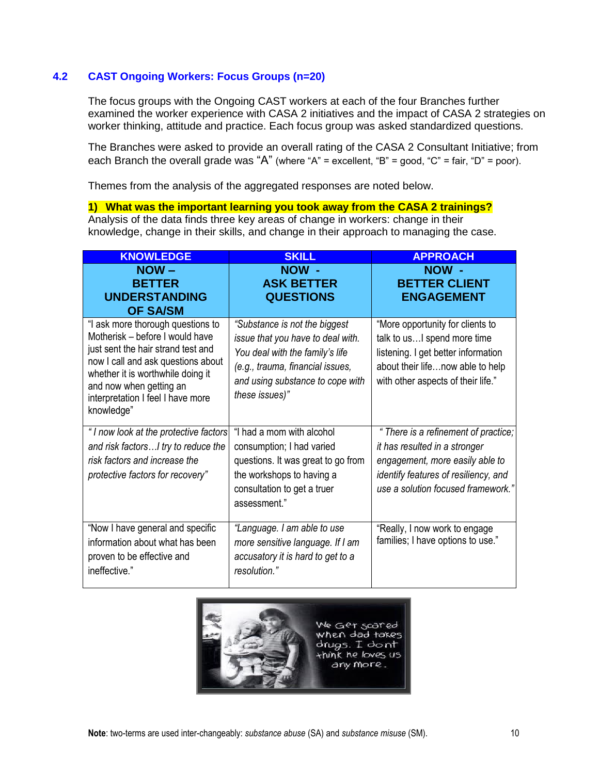# **4.2 CAST Ongoing Workers: Focus Groups (n=20)**

The focus groups with the Ongoing CAST workers at each of the four Branches further examined the worker experience with CASA 2 initiatives and the impact of CASA 2 strategies on worker thinking, attitude and practice. Each focus group was asked standardized questions.

The Branches were asked to provide an overall rating of the CASA 2 Consultant Initiative; from each Branch the overall grade was "A" (where "A" = excellent, "B" = good, "C" = fair, "D" = poor).

Themes from the analysis of the aggregated responses are noted below.

**1) What was the important learning you took away from the CASA 2 trainings?** Analysis of the data finds three key areas of change in workers: change in their knowledge, change in their skills, and change in their approach to managing the case.

| <b>KNOWLEDGE</b>                                                                                                                                                                                                                                                    | <b>SKILL</b>                                                                                                                                                                                    | <b>APPROACH</b>                                                                                                                                                                        |
|---------------------------------------------------------------------------------------------------------------------------------------------------------------------------------------------------------------------------------------------------------------------|-------------------------------------------------------------------------------------------------------------------------------------------------------------------------------------------------|----------------------------------------------------------------------------------------------------------------------------------------------------------------------------------------|
| $NOW -$<br><b>BETTER</b><br><b>UNDERSTANDING</b><br><b>OF SA/SM</b>                                                                                                                                                                                                 | NOW -<br><b>ASK BETTER</b><br><b>QUESTIONS</b>                                                                                                                                                  | NOW -<br><b>BETTER CLIENT</b><br><b>ENGAGEMENT</b>                                                                                                                                     |
| "I ask more thorough questions to<br>Motherisk - before I would have<br>just sent the hair strand test and<br>now I call and ask questions about<br>whether it is worthwhile doing it<br>and now when getting an<br>interpretation I feel I have more<br>knowledge" | "Substance is not the biggest<br>issue that you have to deal with.<br>You deal with the family's life<br>(e.g., trauma, financial issues,<br>and using substance to cope with<br>these issues)" | "More opportunity for clients to<br>talk to usI spend more time<br>listening. I get better information<br>about their lifenow able to help<br>with other aspects of their life."       |
| "I now look at the protective factors<br>and risk factorsI try to reduce the<br>risk factors and increase the<br>protective factors for recovery"                                                                                                                   | "I had a mom with alcohol<br>consumption; I had varied<br>questions. It was great to go from<br>the workshops to having a<br>consultation to get a truer<br>assessment."                        | " There is a refinement of practice;<br>it has resulted in a stronger<br>engagement, more easily able to<br>identify features of resiliency, and<br>use a solution focused framework." |
| "Now I have general and specific<br>information about what has been<br>proven to be effective and<br>ineffective."                                                                                                                                                  | "Language. I am able to use<br>more sensitive language. If I am<br>accusatory it is hard to get to a<br>resolution."                                                                            | "Really, I now work to engage<br>families; I have options to use."                                                                                                                     |

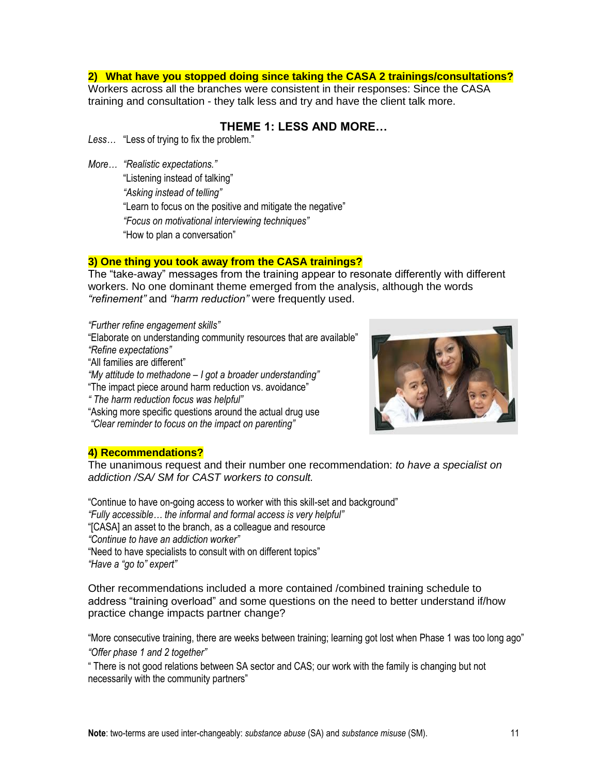#### **2) What have you stopped doing since taking the CASA 2 trainings/consultations?**

Workers across all the branches were consistent in their responses: Since the CASA training and consultation - they talk less and try and have the client talk more.

## **THEME 1: LESS AND MORE…**

*Less…* "Less of trying to fix the problem."

*More… "Realistic expectations."*

"Listening instead of talking" *"Asking instead of telling"* "Learn to focus on the positive and mitigate the negative" *"Focus on motivational interviewing techniques"*  "How to plan a conversation"

#### **3) One thing you took away from the CASA trainings?**

The "take-away" messages from the training appear to resonate differently with different workers. No one dominant theme emerged from the analysis, although the words *"refinement"* and *"harm reduction"* were frequently used.

*"Further refine engagement skills"* "Elaborate on understanding community resources that are available" *"Refine expectations"* "All families are different" *"My attitude to methadone – I got a broader understanding"* "The impact piece around harm reduction vs. avoidance" *" The harm reduction focus was helpful"*

"Asking more specific questions around the actual drug use *"Clear reminder to focus on the impact on parenting"*



#### **4) Recommendations?**

The unanimous request and their number one recommendation: *to have a specialist on addiction /SA/ SM for CAST workers to consult.*

"Continue to have on-going access to worker with this skill-set and background"

*"Fully accessible… the informal and formal access is very helpful"*

"[CASA] an asset to the branch, as a colleague and resource

*"Continue to have an addiction worker"*

"Need to have specialists to consult with on different topics"

*"Have a "go to" expert"*

Other recommendations included a more contained /combined training schedule to address "training overload" and some questions on the need to better understand if/how practice change impacts partner change?

"More consecutive training, there are weeks between training; learning got lost when Phase 1 was too long ago" *"Offer phase 1 and 2 together"*

" There is not good relations between SA sector and CAS; our work with the family is changing but not necessarily with the community partners"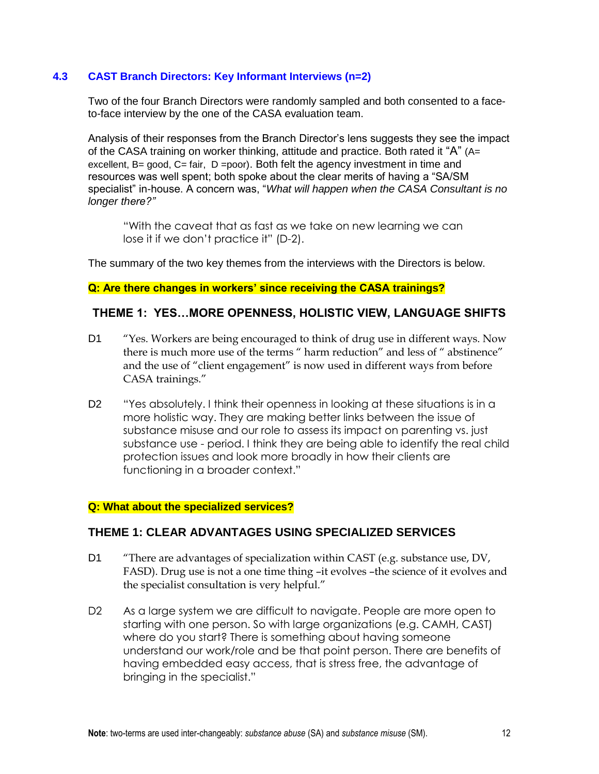### **4.3 CAST Branch Directors: Key Informant Interviews (n=2)**

Two of the four Branch Directors were randomly sampled and both consented to a faceto-face interview by the one of the CASA evaluation team.

Analysis of their responses from the Branch Director's lens suggests they see the impact of the CASA training on worker thinking, attitude and practice. Both rated it " $A$ " ( $A=$ excellent,  $B =$  good,  $C =$  fair,  $D =$  poor). Both felt the agency investment in time and resources was well spent; both spoke about the clear merits of having a "SA/SM specialist" in-house. A concern was, "*What will happen when the CASA Consultant is no longer there?"*

"With the caveat that as fast as we take on new learning we can lose it if we don't practice it" (D-2).

The summary of the two key themes from the interviews with the Directors is below.

# **Q: Are there changes in workers' since receiving the CASA trainings?**

#### **THEME 1: YES…MORE OPENNESS, HOLISTIC VIEW, LANGUAGE SHIFTS**

- D1 "Yes. Workers are being encouraged to think of drug use in different ways. Now there is much more use of the terms " harm reduction" and less of " abstinence" and the use of "client engagement" is now used in different ways from before CASA trainings."
- D2 "Yes absolutely. I think their openness in looking at these situations is in a more holistic way. They are making better links between the issue of substance misuse and our role to assess its impact on parenting vs. just substance use - period. I think they are being able to identify the real child protection issues and look more broadly in how their clients are functioning in a broader context."

#### **Q: What about the specialized services?**

#### **THEME 1: CLEAR ADVANTAGES USING SPECIALIZED SERVICES**

- D1 "There are advantages of specialization within CAST (e.g. substance use, DV, FASD). Drug use is not a one time thing –it evolves –the science of it evolves and the specialist consultation is very helpful."
- D2 As a large system we are difficult to navigate. People are more open to starting with one person. So with large organizations (e.g. CAMH, CAST) where do you start? There is something about having someone understand our work/role and be that point person. There are benefits of having embedded easy access, that is stress free, the advantage of bringing in the specialist."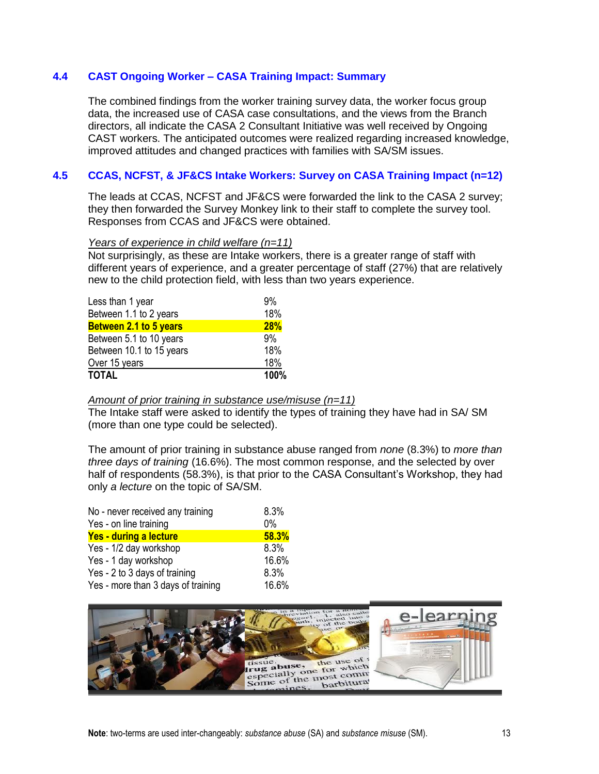#### **4.4 CAST Ongoing Worker – CASA Training Impact: Summary**

The combined findings from the worker training survey data, the worker focus group data, the increased use of CASA case consultations, and the views from the Branch directors, all indicate the CASA 2 Consultant Initiative was well received by Ongoing CAST workers. The anticipated outcomes were realized regarding increased knowledge, improved attitudes and changed practices with families with SA/SM issues.

### **4.5 CCAS, NCFST, & JF&CS Intake Workers: Survey on CASA Training Impact (n=12)**

The leads at CCAS, NCFST and JF&CS were forwarded the link to the CASA 2 survey; they then forwarded the Survey Monkey link to their staff to complete the survey tool. Responses from CCAS and JF&CS were obtained.

#### *Years of experience in child welfare (n=11)*

Not surprisingly, as these are Intake workers, there is a greater range of staff with different years of experience, and a greater percentage of staff (27%) that are relatively new to the child protection field, with less than two years experience.

| <b>TOTAL</b>             | 100%       |
|--------------------------|------------|
| Over 15 years            | 18%        |
| Between 10.1 to 15 years | 18%        |
| Between 5.1 to 10 years  | 9%         |
| Between 2.1 to 5 years   | <b>28%</b> |
| Between 1.1 to 2 years   | 18%        |
| Less than 1 year         | 9%         |

#### *Amount of prior training in substance use/misuse (n=11)*

The Intake staff were asked to identify the types of training they have had in SA/ SM (more than one type could be selected).

The amount of prior training in substance abuse ranged from *none* (8.3%) to *more than three days of training* (16.6%). The most common response, and the selected by over half of respondents (58.3%), is that prior to the CASA Consultant's Workshop, they had only *a lecture* on the topic of SA/SM.

| No - never received any training   | 8.3%  |
|------------------------------------|-------|
| Yes - on line training             | $0\%$ |
| Yes - during a lecture             | 58.3% |
| Yes - 1/2 day workshop             | 8.3%  |
| Yes - 1 day workshop               | 16.6% |
| Yes - 2 to 3 days of training      | 8.3%  |
| Yes - more than 3 days of training | 16.6% |

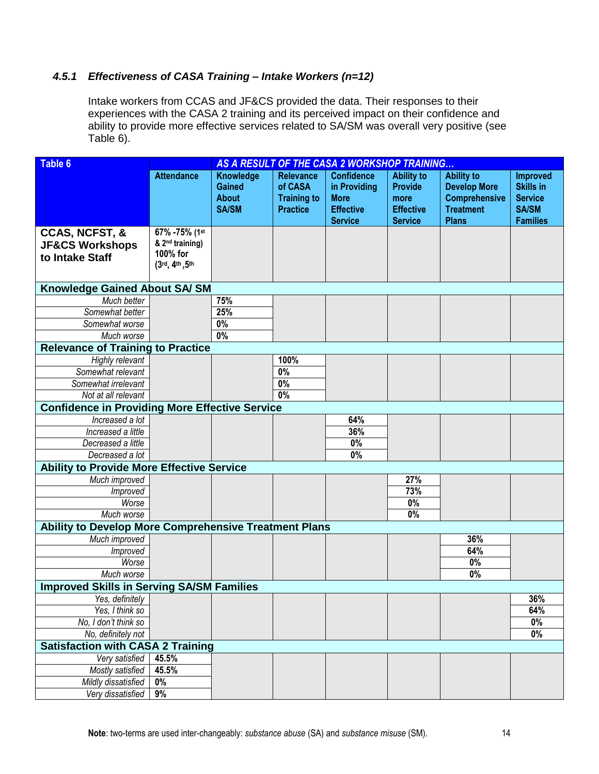# *4.5.1 Effectiveness of CASA Training – Intake Workers (n=12)*

Intake workers from CCAS and JF&CS provided the data. Their responses to their experiences with the CASA 2 training and its perceived impact on their confidence and ability to provide more effective services related to SA/SM was overall very positive (see Table 6).

| <b>Table 6</b>                                                             | AS A RESULT OF THE CASA 2 WORKSHOP TRAINING                                 |                                                            |                                                                      |                                                                                        |                                                                                   |                                                                                                      |                                                                                          |  |
|----------------------------------------------------------------------------|-----------------------------------------------------------------------------|------------------------------------------------------------|----------------------------------------------------------------------|----------------------------------------------------------------------------------------|-----------------------------------------------------------------------------------|------------------------------------------------------------------------------------------------------|------------------------------------------------------------------------------------------|--|
|                                                                            | <b>Attendance</b>                                                           | Knowledge<br><b>Gained</b><br><b>About</b><br><b>SA/SM</b> | <b>Relevance</b><br>of CASA<br><b>Training to</b><br><b>Practice</b> | <b>Confidence</b><br>in Providing<br><b>More</b><br><b>Effective</b><br><b>Service</b> | <b>Ability to</b><br><b>Provide</b><br>more<br><b>Effective</b><br><b>Service</b> | <b>Ability to</b><br><b>Develop More</b><br><b>Comprehensive</b><br><b>Treatment</b><br><b>Plans</b> | <b>Improved</b><br><b>Skills in</b><br><b>Service</b><br><b>SA/SM</b><br><b>Families</b> |  |
| <b>CCAS, NCFST, &amp;</b><br><b>JF&amp;CS Workshops</b><br>to Intake Staff | 67% - 75% (1st<br>& 2 <sup>nd</sup> training)<br>100% for<br>(3rd, 4th, 5th |                                                            |                                                                      |                                                                                        |                                                                                   |                                                                                                      |                                                                                          |  |
| <b>Knowledge Gained About SA/SM</b>                                        |                                                                             |                                                            |                                                                      |                                                                                        |                                                                                   |                                                                                                      |                                                                                          |  |
| Much better                                                                |                                                                             | 75%                                                        |                                                                      |                                                                                        |                                                                                   |                                                                                                      |                                                                                          |  |
| Somewhat better                                                            |                                                                             | 25%                                                        |                                                                      |                                                                                        |                                                                                   |                                                                                                      |                                                                                          |  |
| Somewhat worse                                                             |                                                                             | 0%                                                         |                                                                      |                                                                                        |                                                                                   |                                                                                                      |                                                                                          |  |
| Much worse                                                                 |                                                                             | $\overline{0\%}$                                           |                                                                      |                                                                                        |                                                                                   |                                                                                                      |                                                                                          |  |
| <b>Relevance of Training to Practice</b>                                   |                                                                             |                                                            |                                                                      |                                                                                        |                                                                                   |                                                                                                      |                                                                                          |  |
| Highly relevant                                                            |                                                                             |                                                            | 100%                                                                 |                                                                                        |                                                                                   |                                                                                                      |                                                                                          |  |
| Somewhat relevant                                                          |                                                                             |                                                            | $\overline{0\%}$                                                     |                                                                                        |                                                                                   |                                                                                                      |                                                                                          |  |
| Somewhat irrelevant                                                        |                                                                             |                                                            | 0%                                                                   |                                                                                        |                                                                                   |                                                                                                      |                                                                                          |  |
| Not at all relevant                                                        |                                                                             |                                                            | 0%                                                                   |                                                                                        |                                                                                   |                                                                                                      |                                                                                          |  |
| <b>Confidence in Providing More Effective Service</b>                      |                                                                             |                                                            |                                                                      |                                                                                        |                                                                                   |                                                                                                      |                                                                                          |  |
| Increased a lot                                                            |                                                                             |                                                            |                                                                      | 64%                                                                                    |                                                                                   |                                                                                                      |                                                                                          |  |
| Increased a little                                                         |                                                                             |                                                            |                                                                      | 36%                                                                                    |                                                                                   |                                                                                                      |                                                                                          |  |
| Decreased a little                                                         |                                                                             |                                                            |                                                                      | 0%                                                                                     |                                                                                   |                                                                                                      |                                                                                          |  |
| Decreased a lot                                                            |                                                                             |                                                            |                                                                      | 0%                                                                                     |                                                                                   |                                                                                                      |                                                                                          |  |
| <b>Ability to Provide More Effective Service</b>                           |                                                                             |                                                            |                                                                      |                                                                                        |                                                                                   |                                                                                                      |                                                                                          |  |
| Much improved                                                              |                                                                             |                                                            |                                                                      |                                                                                        | 27%                                                                               |                                                                                                      |                                                                                          |  |
| Improved                                                                   |                                                                             |                                                            |                                                                      |                                                                                        | 73%                                                                               |                                                                                                      |                                                                                          |  |
| Worse                                                                      |                                                                             |                                                            |                                                                      |                                                                                        | $0\%$                                                                             |                                                                                                      |                                                                                          |  |
| Much worse                                                                 |                                                                             |                                                            |                                                                      |                                                                                        | 0%                                                                                |                                                                                                      |                                                                                          |  |
| Ability to Develop More Comprehensive Treatment Plans                      |                                                                             |                                                            |                                                                      |                                                                                        |                                                                                   |                                                                                                      |                                                                                          |  |
| Much improved                                                              |                                                                             |                                                            |                                                                      |                                                                                        |                                                                                   | 36%                                                                                                  |                                                                                          |  |
| Improved                                                                   |                                                                             |                                                            |                                                                      |                                                                                        |                                                                                   | 64%                                                                                                  |                                                                                          |  |
| Worse                                                                      |                                                                             |                                                            |                                                                      |                                                                                        |                                                                                   | $0\%$                                                                                                |                                                                                          |  |
| Much worse                                                                 |                                                                             |                                                            |                                                                      |                                                                                        |                                                                                   | $0\%$                                                                                                |                                                                                          |  |
| <b>Improved Skills in Serving SA/SM Families</b>                           |                                                                             |                                                            |                                                                      |                                                                                        |                                                                                   |                                                                                                      |                                                                                          |  |
| Yes, definitely                                                            |                                                                             |                                                            |                                                                      |                                                                                        |                                                                                   |                                                                                                      | 36%                                                                                      |  |
| Yes, I think so                                                            |                                                                             |                                                            |                                                                      |                                                                                        |                                                                                   |                                                                                                      | 64%                                                                                      |  |
| No, I don't think so                                                       |                                                                             |                                                            |                                                                      |                                                                                        |                                                                                   |                                                                                                      | $\overline{0\%}$                                                                         |  |
| No, definitely not                                                         |                                                                             |                                                            |                                                                      |                                                                                        |                                                                                   |                                                                                                      | $0\%$                                                                                    |  |
| <b>Satisfaction with CASA 2 Training</b>                                   |                                                                             |                                                            |                                                                      |                                                                                        |                                                                                   |                                                                                                      |                                                                                          |  |
| Very satisfied                                                             | 45.5%                                                                       |                                                            |                                                                      |                                                                                        |                                                                                   |                                                                                                      |                                                                                          |  |
| Mostly satisfied                                                           | 45.5%                                                                       |                                                            |                                                                      |                                                                                        |                                                                                   |                                                                                                      |                                                                                          |  |
| Mildly dissatisfied                                                        | 0%                                                                          |                                                            |                                                                      |                                                                                        |                                                                                   |                                                                                                      |                                                                                          |  |
| Very dissatisfied                                                          | 9%                                                                          |                                                            |                                                                      |                                                                                        |                                                                                   |                                                                                                      |                                                                                          |  |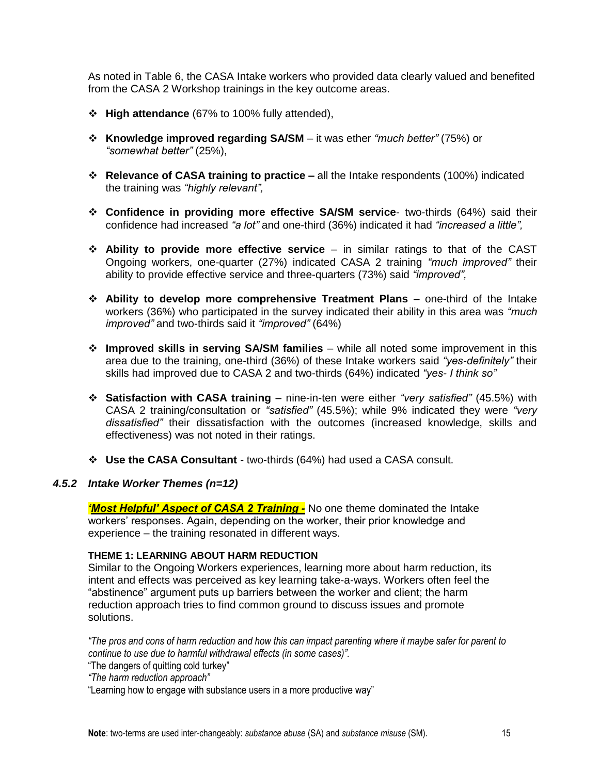As noted in Table 6, the CASA Intake workers who provided data clearly valued and benefited from the CASA 2 Workshop trainings in the key outcome areas.

- **High attendance** (67% to 100% fully attended),
- **Knowledge improved regarding SA/SM** it was ether *"much better"* (75%) or *"somewhat better"* (25%),
- **Relevance of CASA training to practice –** all the Intake respondents (100%) indicated the training was *"highly relevant",*
- **Confidence in providing more effective SA/SM service** two-thirds (64%) said their confidence had increased *"a lot"* and one-third (36%) indicated it had *"increased a little",*
- **Ability to provide more effective service**  in similar ratings to that of the CAST Ongoing workers, one-quarter (27%) indicated CASA 2 training *"much improved"* their ability to provide effective service and three-quarters (73%) said *"improved",*
- **Ability to develop more comprehensive Treatment Plans** one-third of the Intake workers (36%) who participated in the survey indicated their ability in this area was *"much improved"* and two-thirds said it *"improved"* (64%)
- **Improved skills in serving SA/SM families** while all noted some improvement in this area due to the training, one-third (36%) of these Intake workers said *"yes-definitely"* their skills had improved due to CASA 2 and two-thirds (64%) indicated *"yes- I think so"*
- **Satisfaction with CASA training** nine-in-ten were either *"very satisfied"* (45.5%) with CASA 2 training/consultation or *"satisfied"* (45.5%); while 9% indicated they were *"very dissatisfied"* their dissatisfaction with the outcomes (increased knowledge, skills and effectiveness) was not noted in their ratings.
- **Use the CASA Consultant** two-thirds (64%) had used a CASA consult.

#### *4.5.2 Intake Worker Themes (n=12)*

*'Most Helpful' Aspect of CASA 2 Training -* No one theme dominated the Intake workers' responses. Again, depending on the worker, their prior knowledge and experience – the training resonated in different ways.

#### **THEME 1: LEARNING ABOUT HARM REDUCTION**

Similar to the Ongoing Workers experiences, learning more about harm reduction, its intent and effects was perceived as key learning take-a-ways. Workers often feel the "abstinence" argument puts up barriers between the worker and client; the harm reduction approach tries to find common ground to discuss issues and promote solutions.

*"The pros and cons of harm reduction and how this can impact parenting where it maybe safer for parent to continue to use due to harmful withdrawal effects (in some cases)".*

- "The dangers of quitting cold turkey"
- *"The harm reduction approach"*

"Learning how to engage with substance users in a more productive way"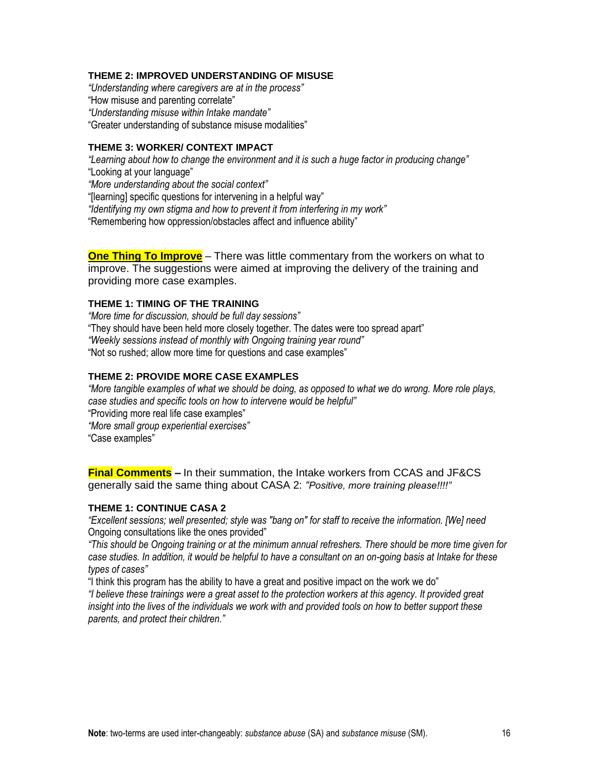#### **THEME 2: IMPROVED UNDERSTANDING OF MISUSE**

*"Understanding where caregivers are at in the process"* 

"How misuse and parenting correlate"

*"Understanding misuse within Intake mandate"*

"Greater understanding of substance misuse modalities"

#### **THEME 3: WORKER/ CONTEXT IMPACT**

*"Learning about how to change the environment and it is such a huge factor in producing change"*

"Looking at your language"

*"More understanding about the social context"*

"[learning] specific questions for intervening in a helpful way"

*"Identifying my own stigma and how to prevent it from interfering in my work"*

"Remembering how oppression/obstacles affect and influence ability"

**One Thing To Improve** – There was little commentary from the workers on what to improve. The suggestions were aimed at improving the delivery of the training and providing more case examples.

#### **THEME 1: TIMING OF THE TRAINING**

*"More time for discussion, should be full day sessions"* "They should have been held more closely together. The dates were too spread apart" *"Weekly sessions instead of monthly with Ongoing training year round"* "Not so rushed; allow more time for questions and case examples"

#### **THEME 2: PROVIDE MORE CASE EXAMPLES**

*"More tangible examples of what we should be doing, as opposed to what we do wrong. More role plays, case studies and specific tools on how to intervene would be helpful"*  "Providing more real life case examples" *"More small group experiential exercises"* 

"Case examples"

**Final Comments –** In their summation, the Intake workers from CCAS and JF&CS generally said the same thing about CASA 2: *"Positive, more training please!!!!"*

#### **THEME 1: CONTINUE CASA 2**

*"Excellent sessions; well presented; style was "bang on" for staff to receive the information. [We] need* Ongoing consultations like the ones provided"

*"This should be Ongoing training or at the minimum annual refreshers. There should be more time given for case studies. In addition, it would be helpful to have a consultant on an on-going basis at Intake for these types of cases"*

"I think this program has the ability to have a great and positive impact on the work we do" *"I believe these trainings were a great asset to the protection workers at this agency. It provided great* 

*insight into the lives of the individuals we work with and provided tools on how to better support these parents, and protect their children."*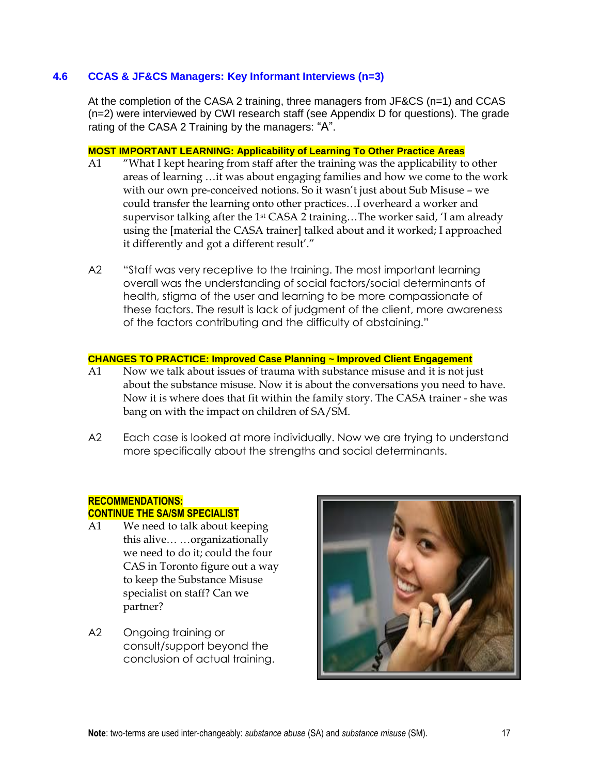#### **4.6 CCAS & JF&CS Managers: Key Informant Interviews (n=3)**

At the completion of the CASA 2 training, three managers from JF&CS (n=1) and CCAS (n=2) were interviewed by CWI research staff (see Appendix D for questions). The grade rating of the CASA 2 Training by the managers: "A".

#### **MOST IMPORTANT LEARNING: Applicability of Learning To Other Practice Areas**

- A1 "What I kept hearing from staff after the training was the applicability to other areas of learning …it was about engaging families and how we come to the work with our own pre-conceived notions. So it wasn't just about Sub Misuse - we could transfer the learning onto other practices…I overheard a worker and supervisor talking after the 1<sup>st</sup> CASA 2 training...The worker said, 'I am already using the [material the CASA trainer] talked about and it worked; I approached it differently and got a different result'."
- A2 "Staff was very receptive to the training. The most important learning overall was the understanding of social factors/social determinants of health, stigma of the user and learning to be more compassionate of these factors. The result is lack of judgment of the client, more awareness of the factors contributing and the difficulty of abstaining."

#### **CHANGES TO PRACTICE: Improved Case Planning ~ Improved Client Engagement**

- A1 Now we talk about issues of trauma with substance misuse and it is not just about the substance misuse. Now it is about the conversations you need to have. Now it is where does that fit within the family story. The CASA trainer - she was bang on with the impact on children of SA/SM.
- A2 Each case is looked at more individually. Now we are trying to understand more specifically about the strengths and social determinants.

#### **RECOMMENDATIONS: CONTINUE THE SA/SM SPECIALIST**

- A1 We need to talk about keeping this alive… …organizationally we need to do it; could the four CAS in Toronto figure out a way to keep the Substance Misuse specialist on staff? Can we partner?
- A2 Ongoing training or consult/support beyond the conclusion of actual training.

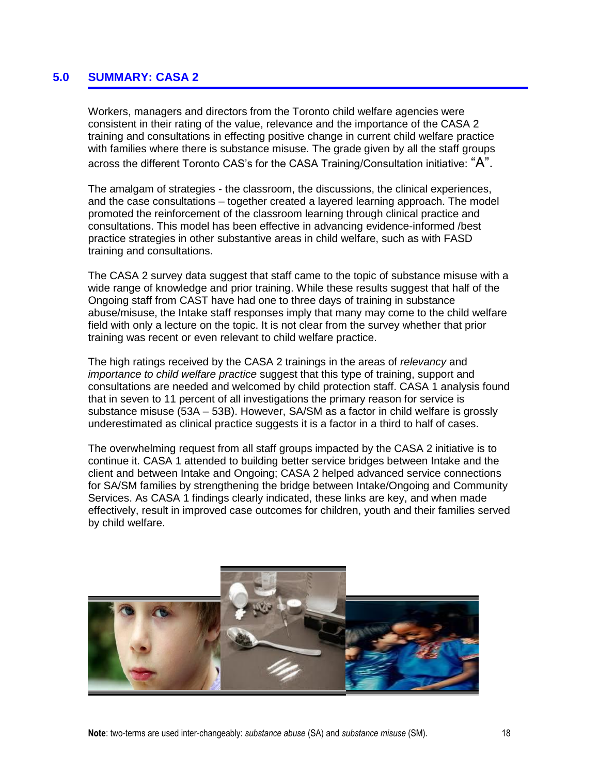# **5.0 SUMMARY: CASA 2**

Workers, managers and directors from the Toronto child welfare agencies were consistent in their rating of the value, relevance and the importance of the CASA 2 training and consultations in effecting positive change in current child welfare practice with families where there is substance misuse. The grade given by all the staff groups across the different Toronto CAS's for the CASA Training/Consultation initiative: "A".

The amalgam of strategies - the classroom, the discussions, the clinical experiences, and the case consultations – together created a layered learning approach. The model promoted the reinforcement of the classroom learning through clinical practice and consultations. This model has been effective in advancing evidence-informed /best practice strategies in other substantive areas in child welfare, such as with FASD training and consultations.

The CASA 2 survey data suggest that staff came to the topic of substance misuse with a wide range of knowledge and prior training. While these results suggest that half of the Ongoing staff from CAST have had one to three days of training in substance abuse/misuse, the Intake staff responses imply that many may come to the child welfare field with only a lecture on the topic. It is not clear from the survey whether that prior training was recent or even relevant to child welfare practice.

The high ratings received by the CASA 2 trainings in the areas of *relevancy* and *importance to child welfare practice* suggest that this type of training, support and consultations are needed and welcomed by child protection staff. CASA 1 analysis found that in seven to 11 percent of all investigations the primary reason for service is substance misuse (53A – 53B). However, SA/SM as a factor in child welfare is grossly underestimated as clinical practice suggests it is a factor in a third to half of cases.

The overwhelming request from all staff groups impacted by the CASA 2 initiative is to continue it. CASA 1 attended to building better service bridges between Intake and the client and between Intake and Ongoing; CASA 2 helped advanced service connections for SA/SM families by strengthening the bridge between Intake/Ongoing and Community Services. As CASA 1 findings clearly indicated, these links are key, and when made effectively, result in improved case outcomes for children, youth and their families served by child welfare.

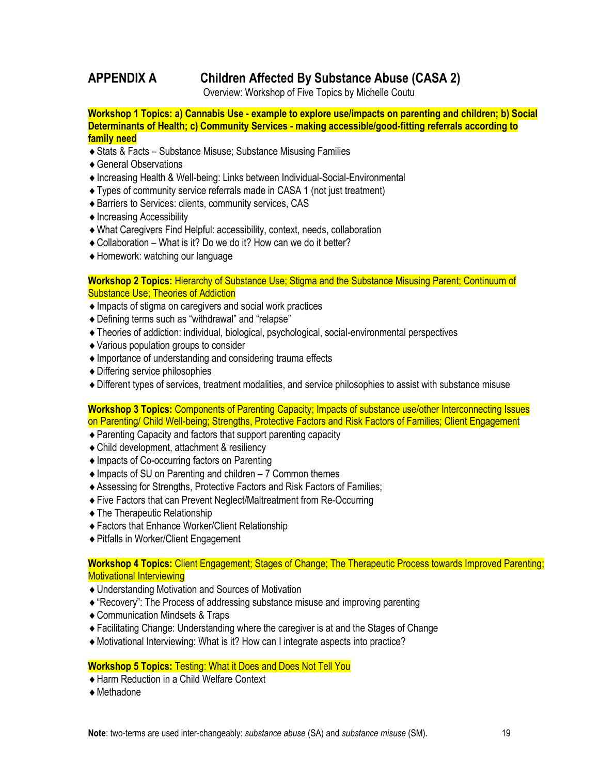# **APPENDIX A Children Affected By Substance Abuse (CASA 2)**

Overview: Workshop of Five Topics by Michelle Coutu

**Workshop 1 Topics: a) Cannabis Use - example to explore use/impacts on parenting and children; b) Social Determinants of Health; c) Community Services - making accessible/good-fitting referrals according to family need**

- ◆ Stats & Facts Substance Misuse; Substance Misusing Families
- General Observations
- Increasing Health & Well-being: Links between Individual-Social-Environmental
- Types of community service referrals made in CASA 1 (not just treatment)
- Barriers to Services: clients, community services, CAS
- ◆ Increasing Accessibility
- What Caregivers Find Helpful: accessibility, context, needs, collaboration
- Collaboration What is it? Do we do it? How can we do it better?
- Homework: watching our language

#### **Workshop 2 Topics:** Hierarchy of Substance Use; Stigma and the Substance Misusing Parent; Continuum of Substance Use; Theories of Addiction

- Impacts of stigma on caregivers and social work practices
- Defining terms such as "withdrawal" and "relapse"
- Theories of addiction: individual, biological, psychological, social-environmental perspectives
- Various population groups to consider
- Importance of understanding and considering trauma effects
- Differing service philosophies
- Different types of services, treatment modalities, and service philosophies to assist with substance misuse

**Workshop 3 Topics:** Components of Parenting Capacity; Impacts of substance use/other Interconnecting Issues on Parenting/ Child Well-being; Strengths, Protective Factors and Risk Factors of Families; Client Engagement

- Parenting Capacity and factors that support parenting capacity
- ◆ Child development, attachment & resiliency
- ◆ Impacts of Co-occurring factors on Parenting
- ◆ Impacts of SU on Parenting and children 7 Common themes
- Assessing for Strengths, Protective Factors and Risk Factors of Families;
- Five Factors that can Prevent Neglect/Maltreatment from Re-Occurring
- The Therapeutic Relationship
- Factors that Enhance Worker/Client Relationship
- ◆ Pitfalls in Worker/Client Engagement

**Workshop 4 Topics:** Client Engagement; Stages of Change; The Therapeutic Process towards Improved Parenting; Motivational Interviewing

- Understanding Motivation and Sources of Motivation
- "Recovery": The Process of addressing substance misuse and improving parenting
- Communication Mindsets & Traps
- Facilitating Change: Understanding where the caregiver is at and the Stages of Change
- Motivational Interviewing: What is it? How can I integrate aspects into practice?

#### **Workshop 5 Topics:** Testing: What it Does and Does Not Tell You

- Harm Reduction in a Child Welfare Context
- ◆ Methadone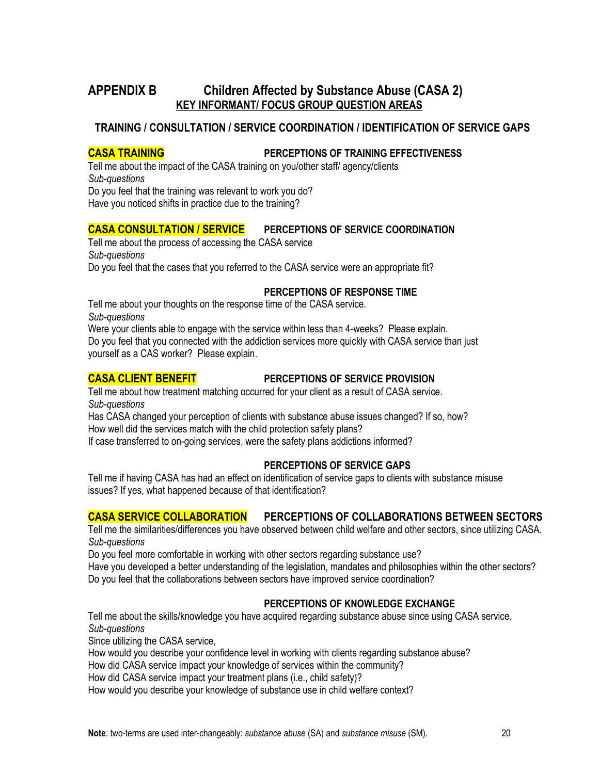# **APPENDIX B Children Affected by Substance Abuse (CASA 2) KEY INFORMANT/ FOCUS GROUP QUESTION AREAS**

# **TRAINING / CONSULTATION / SERVICE COORDINATION / IDENTIFICATION OF SERVICE GAPS**

#### **CASA TRAINING PERCEPTIONS OF TRAINING EFFECTIVENESS**

Tell me about the impact of the CASA training on you/other staff/ agency/clients *Sub-questions* Do you feel that the training was relevant to work you do?

Have you noticed shifts in practice due to the training?

# **CASA CONSULTATION / SERVICE PERCEPTIONS OF SERVICE COORDINATION**

Tell me about the process of accessing the CASA service *Sub-questions* Do you feel that the cases that you referred to the CASA service were an appropriate fit?

#### **PERCEPTIONS OF RESPONSE TIME**

Tell me about your thoughts on the response time of the CASA service. *Sub-questions*

Were your clients able to engage with the service within less than 4-weeks? Please explain. Do you feel that you connected with the addiction services more quickly with CASA service than just yourself as a CAS worker? Please explain.

#### **CASA CLIENT BENEFIT PERCEPTIONS OF SERVICE PROVISION**

Tell me about how treatment matching occurred for your client as a result of CASA service. *Sub-questions*

Has CASA changed your perception of clients with substance abuse issues changed? If so, how? How well did the services match with the child protection safety plans?

If case transferred to on-going services, were the safety plans addictions informed?

#### **PERCEPTIONS OF SERVICE GAPS**

Tell me if having CASA has had an effect on identification of service gaps to clients with substance misuse issues? If yes, what happened because of that identification?

# **CASA SERVICE COLLABORATION PERCEPTIONS OF COLLABORATIONS BETWEEN SECTORS**

Tell me the similarities/differences you have observed between child welfare and other sectors, since utilizing CASA. *Sub-questions*

Do you feel more comfortable in working with other sectors regarding substance use?

Have you developed a better understanding of the legislation, mandates and philosophies within the other sectors? Do you feel that the collaborations between sectors have improved service coordination?

#### **PERCEPTIONS OF KNOWLEDGE EXCHANGE**

Tell me about the skills/knowledge you have acquired regarding substance abuse since using CASA service. *Sub-questions*

Since utilizing the CASA service,

How would you describe your confidence level in working with clients regarding substance abuse?

How did CASA service impact your knowledge of services within the community?

How did CASA service impact your treatment plans (i.e., child safety)?

How would you describe your knowledge of substance use in child welfare context?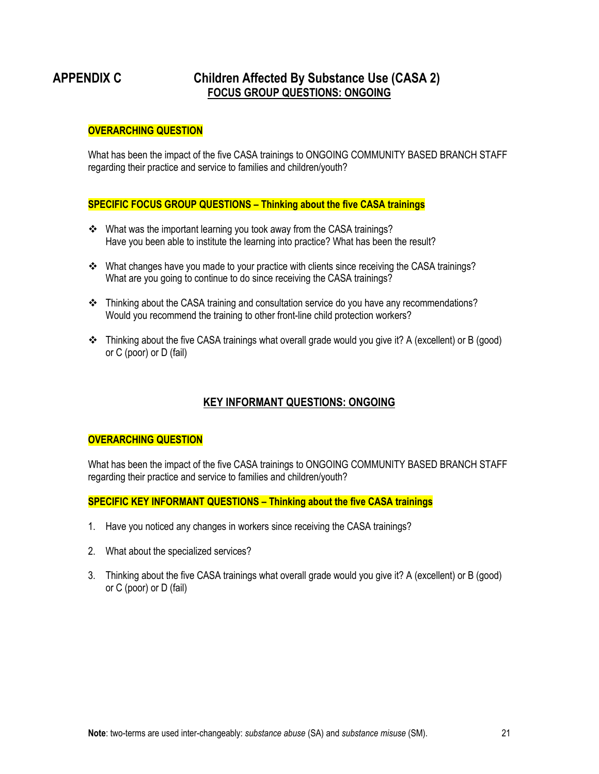# **APPENDIX C Children Affected By Substance Use (CASA 2) FOCUS GROUP QUESTIONS: ONGOING**

#### **OVERARCHING QUESTION**

What has been the impact of the five CASA trainings to ONGOING COMMUNITY BASED BRANCH STAFF regarding their practice and service to families and children/youth?

#### **SPECIFIC FOCUS GROUP QUESTIONS – Thinking about the five CASA trainings**

- What was the important learning you took away from the CASA trainings? Have you been able to institute the learning into practice? What has been the result?
- What changes have you made to your practice with clients since receiving the CASA trainings? What are you going to continue to do since receiving the CASA trainings?
- Thinking about the CASA training and consultation service do you have any recommendations? Would you recommend the training to other front-line child protection workers?
- Thinking about the five CASA trainings what overall grade would you give it? A (excellent) or B (good) or C (poor) or D (fail)

# **KEY INFORMANT QUESTIONS: ONGOING**

#### **OVERARCHING QUESTION**

What has been the impact of the five CASA trainings to ONGOING COMMUNITY BASED BRANCH STAFF regarding their practice and service to families and children/youth?

#### **SPECIFIC KEY INFORMANT QUESTIONS – Thinking about the five CASA trainings**

- 1. Have you noticed any changes in workers since receiving the CASA trainings?
- 2. What about the specialized services?
- 3. Thinking about the five CASA trainings what overall grade would you give it? A (excellent) or B (good) or C (poor) or D (fail)